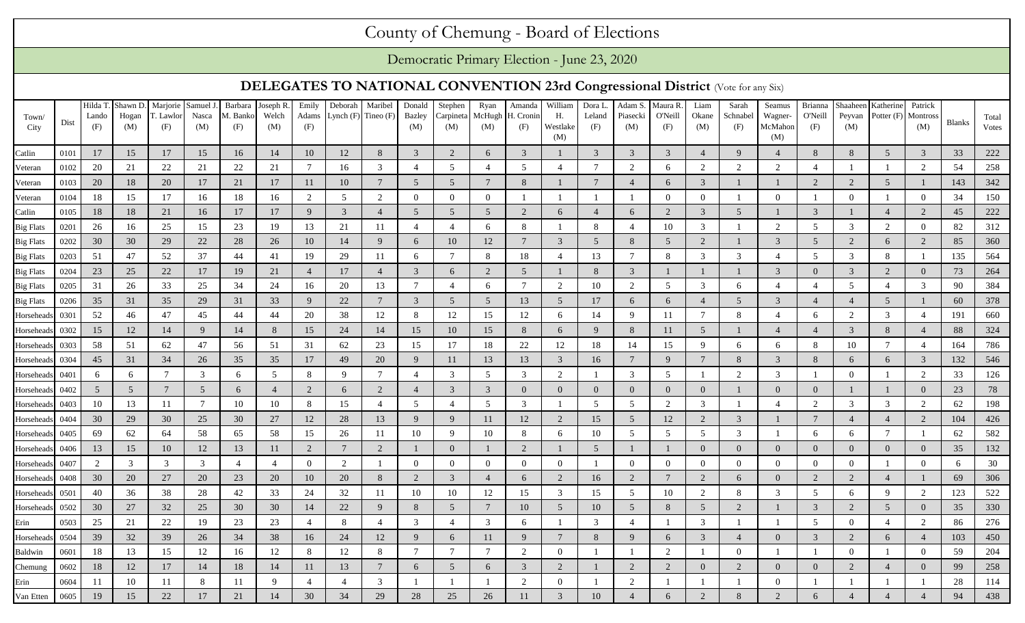## County of Chemung - Board of Elections

Democratic Primary Election - June 23, 2020

## **DELEGATES TO NATIONAL CONVENTION 23rd Congressional District** (Vote for any Six)

| Town/<br>City            | Dist         | Hilda T<br>Lando<br>(F) | Shawn D.<br>Hogan<br>(M) | Marjorie Samuel J<br>T. Lawlor<br>(F) | Nasca<br>(M)    | Barbara<br>M. Banko<br>(F) | Joseph R.<br>Welch<br>(M) | Emily<br>Adams<br>(F) | Deborah<br>Lynch $(F)$ Tineo $(F)$ | Maribel              | Donald<br><b>Bazley</b><br>(M) | Stephen<br>Carpineta<br>(M) | Ryan<br>McHugh<br>(M) | Amanda<br>H. Cronin<br>(F) | William<br>Н.<br>Westlake<br>(M) | Dora L<br>Leland<br>(F) | Adam S.<br>Piasecki<br>(M) | Maura R<br>O'Neill<br>(F)   | Liam<br>Okane<br>(M)     | Sarah<br>Schnabel<br>(F) | Seamus<br>Wagner-<br>McMahor<br>(M) | Brianna<br>O'Neill<br>(F) | Shaaheen<br>Peyvan<br>(M)   | Katherine      | Patrick<br>Potter (F) Montross<br>(M) | <b>Blanks</b> | Total<br>Votes |
|--------------------------|--------------|-------------------------|--------------------------|---------------------------------------|-----------------|----------------------------|---------------------------|-----------------------|------------------------------------|----------------------|--------------------------------|-----------------------------|-----------------------|----------------------------|----------------------------------|-------------------------|----------------------------|-----------------------------|--------------------------|--------------------------|-------------------------------------|---------------------------|-----------------------------|----------------|---------------------------------------|---------------|----------------|
| Catlin                   | 0101         | 17                      | 15                       | 17                                    | 15              | 16                         | 14                        | 10                    | 12                                 | 8                    | $\overline{3}$                 | 2                           | 6                     | 3                          |                                  | 3                       | 3                          | 3                           |                          | 9                        | $\overline{4}$                      | 8                         | 8                           | 5              | $\mathbf{3}$                          | 33            | 222            |
| Veteran                  | 0102         | 20                      | 21                       | 22                                    | 21              | 22                         | 21                        | $\overline{7}$        | 16                                 | 3                    | $\overline{4}$                 | 5                           | $\overline{4}$        | 5 <sup>5</sup>             | $\overline{4}$                   |                         | 2                          | 6                           | 2                        | 2                        | 2                                   | $\overline{4}$            |                             |                | 2                                     | 54            | 258            |
| Veteran                  | 0103         | 20                      | 18                       | 20                                    | 17              | 21                         | 17                        | 11                    | 10                                 | 7                    | $5\overline{)}$                | .5                          |                       | 8                          |                                  |                         | $\overline{4}$             | 6                           | $\mathcal{R}$            |                          |                                     | 2                         | $\mathcal{D}$               | 5              | $\mathbf{1}$                          | 143           | 342            |
| Veteran                  | 0104         | 18                      | 15                       | 17                                    | 16              | 18                         | 16                        | 2                     | 5                                  | 2                    | $\overline{0}$                 | $\Omega$                    | $\Omega$              |                            |                                  |                         |                            | $\Omega$                    | $\Omega$                 |                          | $\Omega$                            |                           | $\Omega$                    |                | $\mathbf{0}$                          | 34            | 150            |
| Catlin                   | 0105         | 18                      | 18                       | 21                                    | 16              | 17                         | 17                        | 9                     | 3                                  | $\angle$             | 5                              | $\overline{5}$              | .5                    | 2                          | 6                                |                         | 6                          | $\mathcal{D}_{\mathcal{L}}$ | $\mathcal{R}$            | .5                       |                                     | 3                         |                             |                | 2                                     | 45            | 222            |
| <b>Big Flats</b>         | 0201         | 26                      | 16                       | 25                                    | 15              | 23                         | 19                        | 13                    | 21                                 | 11                   | $\overline{4}$                 |                             | 6                     | 8                          |                                  | 8                       |                            | 10                          | 3                        |                          | 2                                   | 5                         | 3                           | $\overline{2}$ | $\overline{0}$                        | 82            | 312            |
| <b>Big Flats</b>         | 0202         | 30                      | 30                       | 29                                    | 22              | 28                         | 26                        | 10                    | 14                                 | 9                    | 6                              | 10                          | 12                    | $7\phantom{.0}$            | 3                                | .5                      | 8                          | 5                           | $\overline{2}$           |                          | 3                                   | $5\overline{)}$           | $\mathcal{D}$               | 6              | 2                                     | 85            | 360            |
| <b>Big Flats</b>         | 0203         | 51                      | 47                       | 52                                    | 37              | 44                         | 41                        | 19                    | 29                                 | 11                   | 6                              |                             |                       | 18                         | $\boldsymbol{\Delta}$            | 13                      | $\overline{7}$             | 8                           | $\mathcal{R}$            | 3                        | $\overline{4}$                      | 5                         | $\mathcal{R}$               | 8              | -1                                    | 135           | 564            |
| <b>Big Flats</b>         | 0204         | 23                      | 25                       | 22                                    | 17              | 19                         | 21                        | $\overline{4}$        | 17                                 | $\overline{4}$       | $\mathfrak{Z}$                 | 6                           | $\mathcal{L}$         | 5                          |                                  | 8                       | 3                          |                             |                          |                          | 3                                   | $\overline{0}$            | 3                           | $\overline{2}$ | $\overline{0}$                        | 73            | 264            |
| <b>Big Flats</b>         | 0205         | 31                      | 26                       | 33                                    | 25              | 34                         | 24                        | 16                    | 20                                 | 13                   | $\tau$                         |                             | 6                     | $7\phantom{.0}$            | 2                                | 10                      | 2                          | 5                           | 3                        | 6                        | $\overline{4}$                      | $\overline{4}$            | 5                           | $\overline{4}$ | $\overline{3}$                        | 90            | 384            |
| <b>Big Flats</b>         | 0206         | 35                      | 31                       | 35                                    | 29              | 31                         | 33                        | 9                     | 22                                 | $\overline{7}$       | $\mathfrak{Z}$                 | 5                           | 5                     | 13                         | $5\overline{)}$                  | 17                      | 6                          | 6                           |                          | 5                        | $\mathfrak{Z}$                      | $\overline{4}$            |                             | 5              |                                       | 60            | 378            |
| Horseheads               | 0301         | 52                      | 46                       | 47                                    | 45              | 44                         | 44                        | 20                    | 38                                 | 12                   | 8                              | 12                          | 15                    | 12                         | 6                                | 14                      | 9                          | 11                          |                          | 8                        | $\overline{4}$                      | 6                         | $\mathcal{D}_{\mathcal{L}}$ | 3              | $\overline{4}$                        | 191           | 660            |
| Horseheads               | 0302         | 15                      | 12                       | 14                                    | 9               | 14                         | 8                         | 15                    | 24                                 | 14                   | 15                             | 10                          | 15                    | 8                          | 6                                | 9                       | 8                          | 11                          | 5                        |                          | $\overline{4}$                      | $\overline{4}$            | 3                           | 8              | $\overline{4}$                        | 88            | 324            |
| Horsehead                | 0303         | 58                      | 51                       | 62                                    | 47              | 56                         | 51                        | 31                    | 62                                 | 23                   | 15                             | 17                          | 18                    | $22\,$                     | 12                               | 18                      | 14                         | 15                          | $\mathbf Q$              | 6                        | 6                                   | 8                         | 10                          | 7              | $\overline{4}$                        | 164           | 786            |
| Horseheads               | 0304         | 45                      | 31                       | 34                                    | 26              | 35                         | 35                        | 17                    | 49                                 | 20                   | 9                              | 11                          | 13                    | 13                         | 3                                | 16                      | $\overline{7}$             | 9                           |                          | 8                        | 3                                   | 8                         | 6                           | 6              | $\overline{3}$                        | 132           | 546            |
| Horseheads               | 0401         | 6                       | 6                        | $\overline{7}$                        | $\mathfrak{Z}$  | 6                          | .5                        | 8                     | 9                                  | 7                    | $\overline{4}$                 | $\mathcal{R}$               | .5                    | 3                          | $\overline{2}$                   |                         | 3                          | 5                           |                          | $\overline{2}$           | 3                                   |                           | $\Omega$                    |                | 2                                     | 33            | 126            |
| Horseheads               | 0402         | 5                       | 5                        | $\overline{7}$                        | $5\overline{)}$ | 6                          | $\overline{4}$            | 2                     | 6                                  | $\overline{2}$       | $\overline{4}$                 | 3                           | 3                     | $\overline{0}$             | $\Omega$                         | $\Omega$                | $\overline{0}$             | $\overline{0}$              | $\Omega$                 |                          | $\overline{0}$                      | $\overline{0}$            |                             |                | $\overline{0}$                        | 23            | 78             |
| Horseheads               | 0403         | 10                      | 13                       | 11                                    | $7\phantom{.0}$ | 10                         | 10                        | 8                     | 15                                 | $\overline{4}$       | $5\overline{)}$                |                             | 5                     | 3                          |                                  | 5                       | 5                          | 2                           | 3                        |                          | $\overline{4}$                      | 2                         | 3                           | 3              | 2                                     | 62            | 198            |
| Horseheads               | 0404         | 30                      | 29                       | 30                                    | 25              | 30                         | 27                        | 12                    | 28                                 | 13                   | 9                              | $\mathbf Q$                 | 11                    | 12                         | $\overline{2}$                   | 15                      | 5                          | 12                          |                          | 3                        |                                     | $7\phantom{.0}$           |                             |                | 2                                     | 104           | 426            |
| Horseheads               | 0405         | 69                      | 62<br>15                 | 64<br>10                              | 58              | 65<br>13                   | 58<br>11                  | 15<br>2               | 26                                 | 11<br>$\overline{2}$ | 10                             |                             | 10                    | 8<br>2                     | 6                                | 10<br>5                 | 5                          | 5                           | -5<br>$\Omega$           | 3<br>$\Omega$            | $\Omega$                            | 6<br>$\overline{0}$       | 6<br>$\Omega$               | -7<br>$\Omega$ | $\overline{0}$                        | 62<br>35      | 582<br>132     |
| Horseheads<br>Horseheads | 0406<br>0407 | 13<br>2                 | 3                        | 3                                     | 12<br>3         | $\overline{4}$             | $\overline{4}$            | $\overline{0}$        | $\mathbf{2}$                       |                      | $\overline{0}$                 | $\Omega$                    | $\Omega$              | $\overline{0}$             | $\Omega$                         |                         | $\Omega$                   | $\overline{0}$              | $\Omega$                 | $\overline{0}$           | $\Omega$                            | $\overline{0}$            | $\Omega$                    |                | $\bf{0}$                              | 6             | 30             |
| Horseheads               | 0408         | 30                      | 20                       | 27                                    | 20              | 23                         | 20                        | 10                    | 20                                 | 8                    | 2                              | 3                           | $\overline{4}$        | 6                          | 2                                | 16                      | 2                          | $\overline{7}$              | $\mathcal{D}$            | 6                        | $\overline{0}$                      | 2                         |                             |                |                                       | 69            | 306            |
| Horseheads               | 0501         | 40                      | 36                       | 38                                    | 28              | 42                         | 33                        | 24                    | 32                                 | 11                   | 10                             | 10                          | 12                    | 15                         | 3                                | 15                      | 5                          | 10                          | 2                        | 8                        | 3                                   | 5                         | 6                           | $\mathbf Q$    | 2                                     | 123           | 522            |
| Horseheads               | 0502         | 30                      | 27                       | 32                                    | 25              | 30                         | 30                        | 14                    | 22                                 | <sup>Q</sup>         | 8                              | .5                          | $\overline{7}$        | 10                         | 5                                | 10                      | .5                         | 8                           | $\overline{\phantom{1}}$ | $\overline{2}$           |                                     | 3                         | $\mathcal{D}$               |                | $\overline{0}$                        | 35            | 330            |
| Erin                     | 0503         | 25                      | 21                       | 22                                    | 19              | 23                         | 23                        | $\overline{4}$        | 8                                  | $\Delta$             | 3                              |                             | 3                     | 6                          |                                  | 3                       |                            |                             | 3                        |                          |                                     | 5                         | $\Omega$                    |                | 2                                     | 86            | 276            |
| Horseheads               | 0504         | 39                      | 32                       | 39                                    | 26              | 34                         | 38                        | 16                    | 24                                 | 12                   | 9                              |                             | 11                    | 9                          |                                  | 8                       | $\mathbf Q$                | 6                           |                          | $\overline{4}$           | $\Omega$                            | 3                         | $\mathcal{D}$               | 6              | $\overline{4}$                        | 103           | 450            |
| Baldwin                  | 0601         | 18                      | 13                       | 15                                    | 12              | 16                         | 12                        | 8                     | 12                                 | 8                    | $\tau$                         |                             | $7\phantom{.0}$       | 2                          |                                  |                         |                            | $\mathfrak{D}$              |                          | $\overline{0}$           |                                     |                           |                             |                | $\overline{0}$                        | 59            | 204            |
| Chemung                  | 0602         | 18                      | 12                       | 17                                    | 14              | 18                         | 14                        | 11                    | 13                                 | 7                    | 6                              |                             | -6                    | 3                          | $\overline{2}$                   |                         | 2                          | 2                           | $\Omega$                 | 2                        | $\overline{0}$                      | $\overline{0}$            |                             |                | $\mathbf{0}$                          | 99            | 258            |
| Erin                     | 0604         | 11                      | 10                       | 11                                    | 8               |                            | -9                        | $\overline{4}$        |                                    | 3                    |                                |                             |                       | 2                          |                                  |                         | $\overline{2}$             |                             |                          |                          | $\Omega$                            |                           |                             |                |                                       | 28            | 114            |
| Van Etten                | 0605         | 19                      | 15                       | 22                                    | 17              | 21                         | 14                        | 30                    | 34                                 | 29                   | 28                             | 25                          | 26                    |                            |                                  |                         |                            |                             |                          |                          |                                     |                           |                             |                |                                       | 94            | 438            |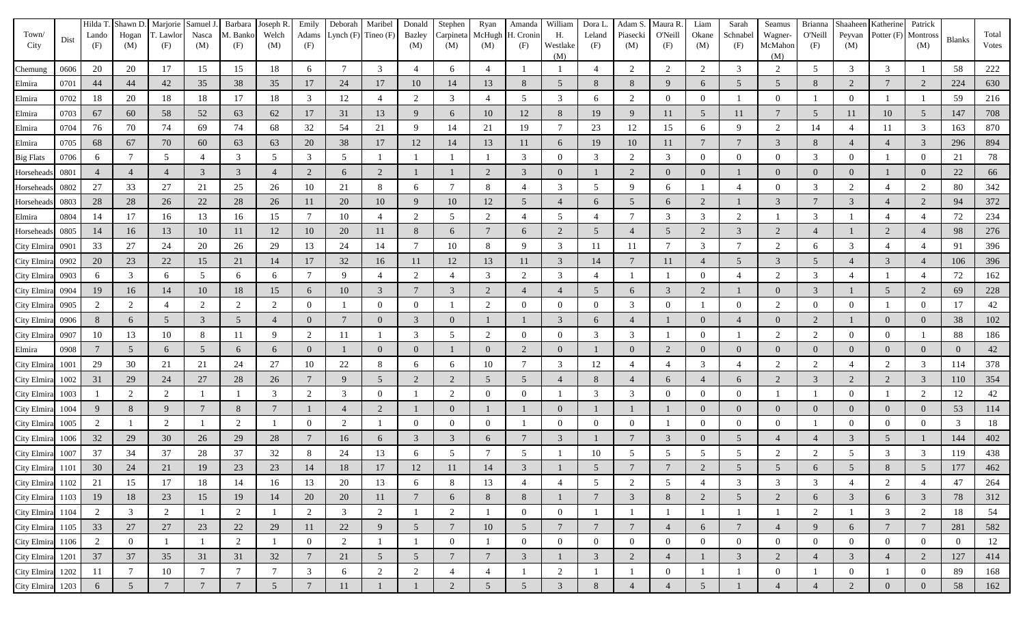| Town/<br>City    | Dist | Hilda T<br>Lando<br>(F) | Hogan<br>(M)    | Shawn D. Marjorie Samuel J.<br>F. Lawlor<br>(F) | Nasca<br>(M)    | Barbara<br>M. Banko<br>(F) | Joseph R.<br>Welch<br>(M) | Emily<br>Adams<br>(F) | Deborah        | Maribel<br>Lynch $(F)$ Tineo $(F)$ | Donald<br>Bazley<br>(M) | Stephen<br>Carpineta<br>(M) | Ryan<br>(M)     | Amanda<br>McHugh H. Cronin<br>(F) | William<br>Н.<br>Westlake<br>(M) | Dora L.<br>Leland<br>(F) | Adam S.<br>Piasecki<br>(M) | Maura R.<br>O'Neill<br>(F) | Liam<br>Okane<br>(M) | Sarah<br>Schnabel<br>(F) | Seamus<br>Wagner-<br>McMahon<br>(M) | Brianna<br>O'Neill<br>(F) | Peyvan<br>(M)  | Shaaheen Katherine | Patrick<br>Potter (F) Montross<br>(M) | <b>Blanks</b> | Total<br>Votes |
|------------------|------|-------------------------|-----------------|-------------------------------------------------|-----------------|----------------------------|---------------------------|-----------------------|----------------|------------------------------------|-------------------------|-----------------------------|-----------------|-----------------------------------|----------------------------------|--------------------------|----------------------------|----------------------------|----------------------|--------------------------|-------------------------------------|---------------------------|----------------|--------------------|---------------------------------------|---------------|----------------|
| Chemung          | 0606 | 20                      | 20              | 17                                              | 15              | 15                         | 18                        | 6                     | 7              | 3                                  | $\overline{4}$          | 6                           |                 | -1                                |                                  |                          | 2                          | 2                          | $\overline{2}$       | 3                        | 2                                   | 5                         | 3              | 3                  |                                       | 58            | 222            |
| Elmira           | 0701 | 44                      | 44              | 42                                              | 35              | 38                         | 35                        | 17                    | 24             | 17                                 | 10                      | 14                          | 13              | 8                                 | 5                                | 8                        | 8                          | 9                          | 6                    | 5                        | 5                                   | 8                         | 2              |                    | 2                                     | 224           | 630            |
| Elmira           | 0702 | 18                      | 20              | 18                                              | 18              | 17                         | 18                        | 3                     | 12             | $\overline{4}$                     | 2                       | 3                           |                 | 5                                 | 3                                | 6                        | $\overline{2}$             | $\Omega$                   |                      |                          | $\Omega$                            |                           |                |                    |                                       | 59            | 216            |
| Elmira           | 0703 | 67                      | 60              | 58                                              | 52              | 63                         | 62                        | 17                    | 31             | 13                                 | 9                       | 6                           | 10              | 12                                | 8                                | 19                       | 9                          | 11                         |                      | 11                       |                                     | $5\overline{)}$           |                | 10                 | 5                                     | 147           | 708            |
| Elmira           | 0704 | 76                      | 70              | 74                                              | 69              | 74                         | 68                        | 32                    | 54             | 21                                 | 9                       | 14                          | 21              | 19                                | $\tau$                           | 23                       | 12                         | 15                         | 6                    | -9                       | 2                                   | 14                        |                | -11                | 3                                     | 163           | 870            |
| Elmira           | 0705 | 68                      | 67              | 70                                              | 60              | 63                         | 63                        | 20                    | 38             | 17                                 | 12                      | 14                          | 13              | 11                                | 6                                | 19                       | 10                         | 11                         |                      |                          | 3                                   | 8                         |                |                    | 3                                     | 296           | 894            |
| <b>Big Flats</b> | 0706 | 6                       |                 | 5                                               | $\overline{4}$  | 3                          | 5                         | 3                     | .5             |                                    |                         |                             |                 | 3                                 | $\Omega$                         | 3                        | 2                          | 3                          |                      | $\Omega$                 | $\Omega$                            | 3                         |                |                    | $\overline{0}$                        | 21            | 78             |
| Horseheads       | 0801 |                         |                 |                                                 | $\mathbf{3}$    | 3                          |                           | 2                     | 6              | $\overline{2}$                     |                         |                             |                 | 3                                 | $\Omega$                         |                          | $\overline{2}$             | $\Omega$                   |                      |                          |                                     | $\mathbf{0}$              |                |                    | $\overline{0}$                        | 22            | 66             |
| Horseheads       | 0802 | 27                      | 33              | 27                                              | 21              | 25                         | 26                        | 10                    | 21             | 8                                  | 6                       |                             | 8               | $\overline{4}$                    | 3                                | .5                       | -9                         | 6                          |                      |                          |                                     | 3                         | 2              |                    | 2                                     | 80            | 342            |
| Horseheads       | 0803 | 28                      | 28              | 26                                              | 22              | 28                         | 26                        | 11                    | 20             | 10                                 | 9                       | 10                          | 12              | 5                                 |                                  | $\mathfrak b$            | 5                          | 6                          | $\bigcirc$           |                          | 3                                   | $7\phantom{.0}$           |                |                    | 2                                     | 94            | 372            |
| Elmira           | 0804 | 14                      | 17              | 16                                              | 13              | 16                         | 15                        | 7                     | 10             |                                    | 2                       | 5                           | 2               |                                   | 5                                |                          |                            | 3                          | 3                    | $\overline{2}$           |                                     | 3                         |                |                    | 4                                     | 72            | 234            |
| Horseheads       | 0805 | 14                      | 16              | 13                                              | 10              | 11                         | 12                        | 10                    | 20             | 11                                 | 8                       | 6                           |                 | 6                                 | 2                                | 5                        |                            | 5                          | $\overline{2}$       | 3                        | 2                                   | $\overline{4}$            |                | $\overline{2}$     | $\overline{4}$                        | 98            | 276            |
| City Elmira      | 0901 | 33                      | 27              | 24                                              | 20              | 26                         | 29                        | 13                    | 24             | 14                                 | $\tau$                  | 10                          | 8               | 9                                 | 3                                | 11                       | 11                         | $\tau$                     | 3                    | $\overline{7}$           | 2                                   | 6                         | 3              |                    | $\overline{4}$                        | 91            | 396            |
| City Elmira      | 0902 | 20                      | 23              | 22                                              | 15              | 21                         | 14                        | 17                    | 32             | 16                                 | 11                      | 12                          | 13              | 11                                | 3                                | 14                       |                            | 11                         |                      | 5                        | 3                                   | 5                         |                | 3                  | $\overline{4}$                        | 106           | 396            |
| City Elmira      | 0903 | 6                       | 3               | 6                                               | 5               | 6                          | 6                         | 7                     | 9              |                                    | 2                       |                             | 3               | 2                                 | 3                                | 4                        |                            |                            |                      |                          | 2                                   | $\mathfrak{Z}$            |                |                    | $\overline{4}$                        | 72            | 162            |
| City Elmira      | 0904 | 19                      | 16              | 14                                              | 10              | 18                         | 15                        | 6                     | 10             | 3                                  | $7\phantom{.0}$         | 3                           | $\mathcal{D}$   | $\overline{4}$                    |                                  | 5                        | 6                          | 3                          |                      |                          | $\Omega$                            | $\mathbf{3}$              |                |                    | 2                                     | 69            | 228            |
| City Elmira      | 0905 | 2                       | 2               |                                                 | 2               | 2                          | $\overline{2}$            | $\overline{0}$        |                | $\theta$                           | $\overline{0}$          |                             | $\overline{2}$  | $\mathbf{0}$                      | $\overline{0}$                   |                          | 3                          | $\Omega$                   |                      | $\Omega$                 | 2                                   | $\mathbf{0}$              |                |                    | $\mathbf{0}$                          | 17            | 42             |
| City Elmira      | 0906 | 8                       |                 | 5                                               | $\mathbf{3}$    | 5                          |                           | $\overline{0}$        |                | $\Omega$                           | $\mathfrak{Z}$          | 0                           |                 |                                   | 3                                | 6                        |                            |                            |                      |                          | $\Omega$                            | 2                         |                | $\Omega$           | $\overline{0}$                        | 38            | 102            |
| City Elmira      | 0907 | 10                      | 13              | 10                                              | 8               |                            |                           | 2                     | 11             |                                    | 3                       | 5                           |                 | $\overline{0}$                    | $\Omega$                         | 3                        | 3                          |                            |                      |                          |                                     | 2                         |                | $\Omega$           |                                       | 88            | 186            |
| Elmira           | 0908 |                         | 5               | 6                                               | 5 <sup>5</sup>  | 6                          | 6                         | $\overline{0}$        |                | $\Omega$                           | $\overline{0}$          |                             |                 | 2                                 | $\overline{0}$                   |                          | $\Omega$                   | 2                          |                      | $\theta$                 |                                     | $\overline{0}$            |                | $\Omega$           | $\overline{0}$                        |               | 42             |
| City Elmira      | 1001 | 29                      | 30              | 21                                              | 21              | 24                         | 27                        | 10                    | 22             | 8                                  | 6                       | 6                           | 10              | $\overline{7}$                    | 3                                | 12                       |                            |                            | 3                    |                          | 2                                   | 2                         |                | $\overline{c}$     | 3                                     | 114           | 378            |
| City Elmira      | 1002 | 31                      | 29              | 24                                              | 27              | 28                         | 26                        | 7                     | $\mathbf Q$    | 5                                  | 2                       | 2                           | -5              | 5                                 |                                  | 8                        |                            | 6                          |                      | 6                        | 2                                   | $\mathfrak{Z}$            |                | $\mathcal{L}$      | 3                                     | 110           | 354            |
| City Elmira      | 1003 |                         | $\mathcal{L}$   | $\overline{2}$                                  |                 |                            |                           | 2                     |                | $\Omega$                           |                         | 2                           |                 | $\mathbf{0}$                      |                                  | 3                        | 3                          | $\Omega$                   |                      | $\Omega$                 |                                     |                           |                |                    | 2                                     | 12            | 42             |
| City Elmira      | 1004 | 9                       |                 | 9                                               | $\overline{7}$  | 8                          |                           |                       |                | $\overline{2}$                     |                         | $\Omega$                    |                 |                                   | $\overline{0}$                   |                          |                            |                            |                      | $\Omega$                 | $\Omega$                            | $\mathbf{0}$              |                | $\Omega$           | $\overline{0}$                        | 53            | 114            |
| City Elmira      | 1005 | 2                       |                 | $\overline{2}$                                  |                 | 2                          |                           | $\overline{0}$        | $\mathcal{D}$  |                                    | $\Omega$                | $\Omega$                    |                 |                                   | $\Omega$                         |                          | $\Omega$                   |                            |                      | $\Omega$                 | $\Omega$                            |                           |                | $\overline{0}$     | $\overline{0}$                        | 3             | 18             |
| City Elmira      | 1006 | 32                      | 29              | 30                                              | 26              | 29                         | 28                        | $\tau$                | 16             | 6                                  | 3                       | 3                           |                 | $\overline{7}$                    | 3                                |                          |                            | 3                          |                      | 5                        |                                     | $\overline{4}$            | 3              | .5                 |                                       | 144           | 402            |
| City Elmira      | 1007 | 37                      | 34              | 37                                              | 28              | 37                         | 32                        | 8                     | 24             | 13                                 | 6                       |                             |                 | 5                                 |                                  | 10                       | 5                          | 5                          | 5                    | 5                        |                                     | 2                         |                | 3                  | 3                                     | 119           | 438            |
| City Elmira      | 1101 | 30                      | 24              | 21                                              | 19              | 23                         | 23                        | 14                    |                |                                    | 12                      |                             |                 |                                   |                                  |                          |                            |                            |                      |                          |                                     |                           |                |                    | $\overline{5}$                        | 177           | 462            |
| City Elmira 1102 |      | 21                      | 15              | 17                                              | $18\,$          | 14                         | 16                        | 13                    | 20             | 13                                 | 6                       | $\,8\,$                     | 13              | $\overline{4}$                    | $\overline{4}$                   | 5                        | 2                          | $\mathfrak{S}$             | $\overline{4}$       | $\overline{3}$           | 3                                   | 3                         |                | $\overline{2}$     | $\overline{4}$                        | 47            | 264            |
| City Elmira 1103 |      | 19                      | 18              | 23                                              | 15              | 19                         | 14                        | 20                    | 20             | 11                                 | $7\phantom{.0}$         | 6                           | 8               | 8                                 |                                  | $\overline{7}$           | $\mathbf{3}$               | $8\,$                      | $\overline{2}$       | $\overline{5}$           | $\overline{2}$                      | 6                         | $\mathfrak{Z}$ | 6                  | $\mathfrak{Z}$                        | 78            | 312            |
| City Elmira 1104 |      | 2                       | $\mathfrak{Z}$  | 2                                               | $\mathbf{1}$    | $\overline{2}$             |                           | 2                     | $\mathfrak{Z}$ | $\overline{2}$                     |                         | $\overline{2}$              |                 | $\overline{0}$                    | $\overline{0}$                   |                          |                            |                            |                      |                          |                                     | $\overline{2}$            |                | 3                  | $\overline{2}$                        | 18            | 54             |
| City Elmira 1105 |      | 33                      | 27              | $27\,$                                          | 23              | 22                         | 29                        | 11                    | 22             | 9                                  | $5\overline{)}$         | $\overline{7}$              | 10              | $5\overline{)}$                   | $\tau$                           | $7\phantom{.0}$          | $\overline{7}$             | $\overline{4}$             | 6                    | $\overline{7}$           | 4                                   | 9                         | 6              | $7\phantom{.0}$    | $7\phantom{.0}$                       | 281           | 582            |
| City Elmira 1106 |      | $\overline{2}$          | $\overline{0}$  |                                                 | -1              | $\overline{2}$             |                           | $\overline{0}$        | $\overline{2}$ |                                    |                         | $\overline{0}$              |                 | $\overline{0}$                    | $\overline{0}$                   | $\overline{0}$           | $\overline{0}$             | $\overline{0}$             | $\overline{0}$       | $\boldsymbol{0}$         | $\overline{0}$                      | $\mathbf{0}$              | $\mathbf{0}$   | $\overline{0}$     | $\overline{0}$                        | $\mathbf{0}$  | 12             |
| City Elmira 1201 |      | 37                      | 37              | 35                                              | 31              | 31                         | 32                        | $7\phantom{.0}$       | 21             | $5\overline{)}$                    | 5 <sup>5</sup>          | $\tau$                      | $7\phantom{.0}$ | $\mathfrak{Z}$                    |                                  | $\mathfrak{Z}$           | 2                          | $\overline{4}$             |                      | $\overline{3}$           | 2                                   | $\overline{4}$            | 3              | $\overline{4}$     | $\overline{2}$                        | 127           | 414            |
| City Elmira 1202 |      | 11                      | $7\phantom{.0}$ | 10                                              | $\overline{7}$  | $7\phantom{.0}$            | $\overline{7}$            | $\mathbf{3}$          | 6              | $\overline{2}$                     | 2                       | $\overline{4}$              | $\overline{4}$  | $\mathbf{1}$                      | $\overline{2}$                   |                          |                            | $\overline{0}$             |                      |                          | $\mathbf{0}$                        |                           | $\overline{0}$ |                    | $\bf{0}$                              | 89            | 168            |
| City Elmira 1203 |      | 6                       | $5\overline{)}$ | $\overline{7}$                                  | $7\phantom{.0}$ | $\overline{7}$             | $5\overline{)}$           | $\overline{7}$        | 11             |                                    |                         | $\overline{2}$              | $5\,$           | $5\overline{)}$                   | $\mathfrak{Z}$                   | 8                        | $\overline{4}$             | $\overline{4}$             | 5 <sup>5</sup>       |                          | $\overline{4}$                      | $\overline{4}$            | $\overline{2}$ | $\mathbf{0}$       | $\mathbf{0}$                          | 58            | 162            |